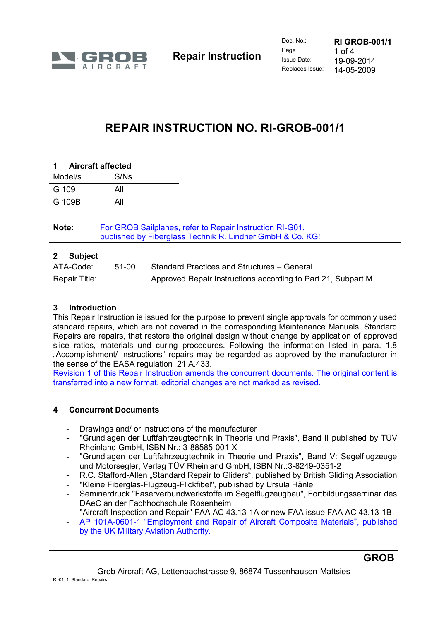

# **REPAIR INSTRUCTION NO. RI-GROB-001/1**

| 1 Aircraft affected |      |
|---------------------|------|
| Model/s             | S/Ns |
| G 109               | All  |
| G 109B              | All  |
|                     |      |

| Note: | For GROB Sailplanes, refer to Repair Instruction RI-G01,<br>published by Fiberglass Technik R. Lindner GmbH & Co. KG! |
|-------|-----------------------------------------------------------------------------------------------------------------------|
|       |                                                                                                                       |

# **2 Subject**

| ATA-Code:     | 51-00 | Standard Practices and Structures – General                  |
|---------------|-------|--------------------------------------------------------------|
| Repair Title: |       | Approved Repair Instructions according to Part 21, Subpart M |

## **3 Introduction**

This Repair Instruction is issued for the purpose to prevent single approvals for commonly used standard repairs, which are not covered in the corresponding Maintenance Manuals. Standard Repairs are repairs, that restore the original design without change by application of approved slice ratios, materials und curing procedures. Following the information listed in para. 1.8 "Accomplishment/ Instructions" repairs may be regarded as approved by the manufacturer in the sense of the EASA regulation 21 A.433.

Revision 1 of this Repair Instruction amends the concurrent documents. The original content is transferred into a new format, editorial changes are not marked as revised.

## **4 Concurrent Documents**

- Drawings and/ or instructions of the manufacturer
- "Grundlagen der Luftfahrzeugtechnik in Theorie und Praxis", Band II published by TÜV Rheinland GmbH, ISBN Nr.: 3-88585-001-X
- "Grundlagen der Luftfahrzeugtechnik in Theorie und Praxis", Band V: Segelflugzeuge und Motorsegler, Verlag TÜV Rheinland GmbH, ISBN Nr.:3-8249-0351-2
- R.C. Stafford-Allen "Standard Repair to Gliders", published by British Gliding Association
- "Kleine Fiberglas-Flugzeug-Flickfibel", published by Ursula Hänle
- Seminardruck "Faserverbundwerkstoffe im Segelflugzeugbau", Fortbildungsseminar des DAeC an der Fachhochschule Rosenheim
- "Aircraft Inspection and Repair" FAA AC 43.13-1A or new FAA issue FAA AC 43.13-1B
- AP 101A-0601-1 "Employment and Repair of Aircraft Composite Materials", published by the UK Military Aviation Authority.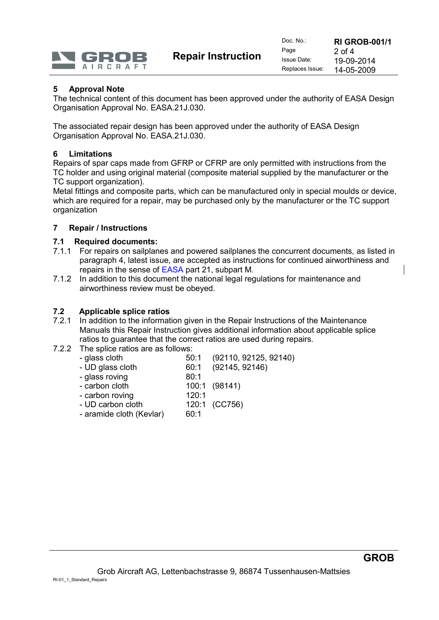

**Repair Instruction**

## **5 Approval Note**

The technical content of this document has been approved under the authority of EASA Design Organisation Approval No. EASA.21J.030.

The associated repair design has been approved under the authority of EASA Design Organisation Approval No. EASA.21J.030.

#### **6 Limitations**

Repairs of spar caps made from GFRP or CFRP are only permitted with instructions from the TC holder and using original material (composite material supplied by the manufacturer or the TC support organization).

Metal fittings and composite parts, which can be manufactured only in special moulds or device, which are required for a repair, may be purchased only by the manufacturer or the TC support organization

#### **7 Repair / Instructions**

#### **7.1 Required documents:**

- 7.1.1 For repairs on sailplanes and powered sailplanes the concurrent documents, as listed in paragraph 4, latest issue, are accepted as instructions for continued airworthiness and repairs in the sense of EASA part 21, subpart M.
- 7.1.2 In addition to this document the national legal regulations for maintenance and airworthiness review must be obeyed.

#### **7.2 Applicable splice ratios**

- 7.2.1 In addition to the information given in the Repair Instructions of the Maintenance Manuals this Repair Instruction gives additional information about applicable splice ratios to guarantee that the correct ratios are used during repairs.
- 7.2.2 The splice ratios are as follows:
	- glass cloth 50:1 (92110, 92125, 92140)
		- UD glass cloth 60:1 (92145, 92146)
	- glass roving 80:1
	- carbon cloth 100:1 (98141)
	- carbon roving 120:1
	- UD carbon cloth 120:1 (CC756)
	- aramide cloth (Kevlar) 60:1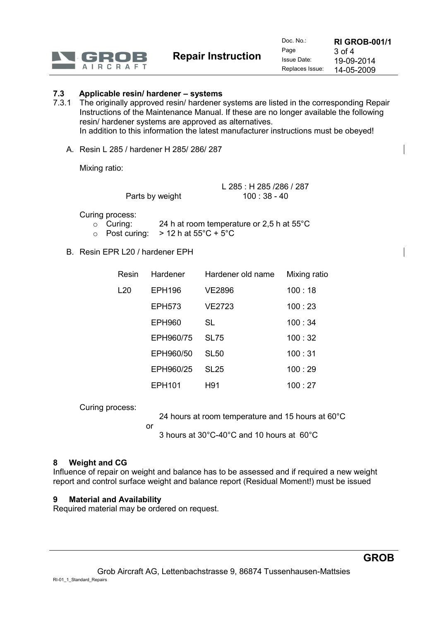

**Repair Instruction**

## **7.3 Applicable resin/ hardener – systems**

- 7.3.1 The originally approved resin/ hardener systems are listed in the corresponding Repair Instructions of the Maintenance Manual. If these are no longer available the following resin/ hardener systems are approved as alternatives. In addition to this information the latest manufacturer instructions must be obeyed!
	- A. Resin L 285 / hardener H 285/ 286/ 287

Mixing ratio:

L 285 : H 285 /286 / 287 Parts by weight 100 : 38 - 40

Curing process:

- o Curing: 24 h at room temperature or 2,5 h at 55°C
- $\circ$  Post curing:  $> 12$  h at 55°C + 5°C
- B. Resin EPR L20 / hardener EPH

| Resin | Hardener      | Hardener old name | Mixing ratio |
|-------|---------------|-------------------|--------------|
| L20   | <b>EPH196</b> | <b>VE2896</b>     | 100:18       |
|       | <b>EPH573</b> | VE2723            | 100:23       |
|       | <b>EPH960</b> | SL                | 100:34       |
|       | EPH960/75     | <b>SL75</b>       | 100:32       |
|       | EPH960/50     | <b>SL50</b>       | 100:31       |
|       | EPH960/25     | SL <sub>25</sub>  | 100:29       |
|       | EPH101        | H91               | 100 : 27     |

Curing process:

24 hours at room temperature and 15 hours at 60°C

or

3 hours at 30°C-40°C and 10 hours at 60°C

## **8 Weight and CG**

Influence of repair on weight and balance has to be assessed and if required a new weight report and control surface weight and balance report (Residual Moment!) must be issued

## **9 Material and Availability**

Required material may be ordered on request.